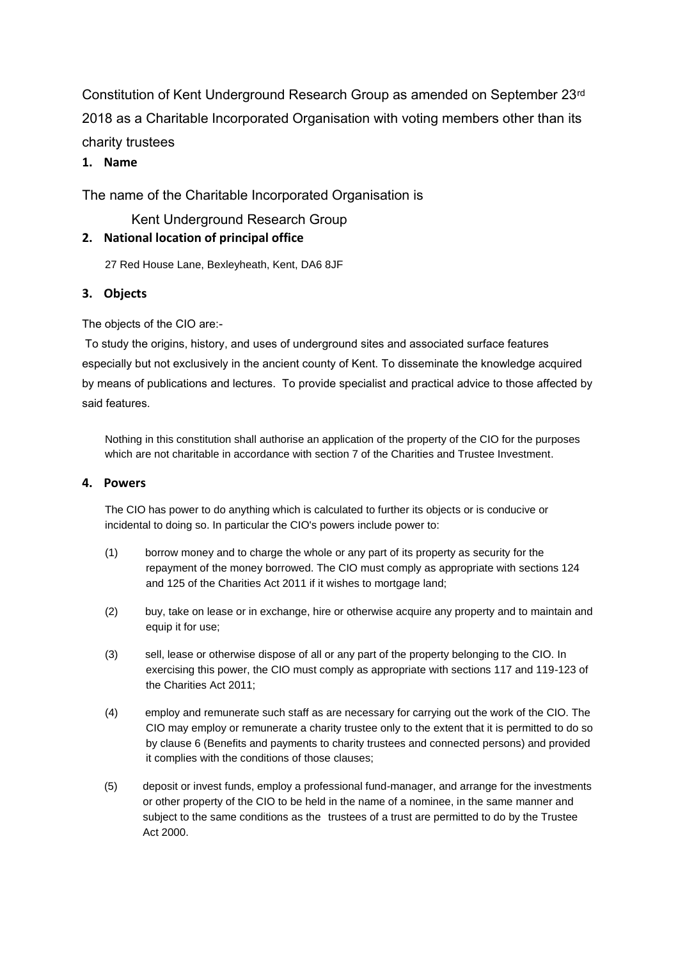Constitution of Kent Underground Research Group as amended on September 23rd 2018 as a Charitable Incorporated Organisation with voting members other than its charity trustees

# **1. Name**

The name of the Charitable Incorporated Organisation is

# Kent Underground Research Group

# **2. National location of principal office**

27 Red House Lane, Bexleyheath, Kent, DA6 8JF

# **3. Objects**

The objects of the CIO are:-

To study the origins, history, and uses of underground sites and associated surface features especially but not exclusively in the ancient county of Kent. To disseminate the knowledge acquired by means of publications and lectures. To provide specialist and practical advice to those affected by said features.

Nothing in this constitution shall authorise an application of the property of the CIO for the purposes which are not charitable in accordance with section 7 of the Charities and Trustee Investment.

# **4. Powers**

The CIO has power to do anything which is calculated to further its objects or is conducive or incidental to doing so. In particular the CIO's powers include power to:

- (1) borrow money and to charge the whole or any part of its property as security for the repayment of the money borrowed. The CIO must comply as appropriate with sections 124 and 125 of the Charities Act 2011 if it wishes to mortgage land;
- (2) buy, take on lease or in exchange, hire or otherwise acquire any property and to maintain and equip it for use;
- (3) sell, lease or otherwise dispose of all or any part of the property belonging to the CIO. In exercising this power, the CIO must comply as appropriate with sections 117 and 119-123 of the Charities Act 2011;
- (4) employ and remunerate such staff as are necessary for carrying out the work of the CIO. The CIO may employ or remunerate a charity trustee only to the extent that it is permitted to do so by clause 6 (Benefits and payments to charity trustees and connected persons) and provided it complies with the conditions of those clauses;
- (5) deposit or invest funds, employ a professional fund-manager, and arrange for the investments or other property of the CIO to be held in the name of a nominee, in the same manner and subject to the same conditions as the trustees of a trust are permitted to do by the Trustee Act 2000.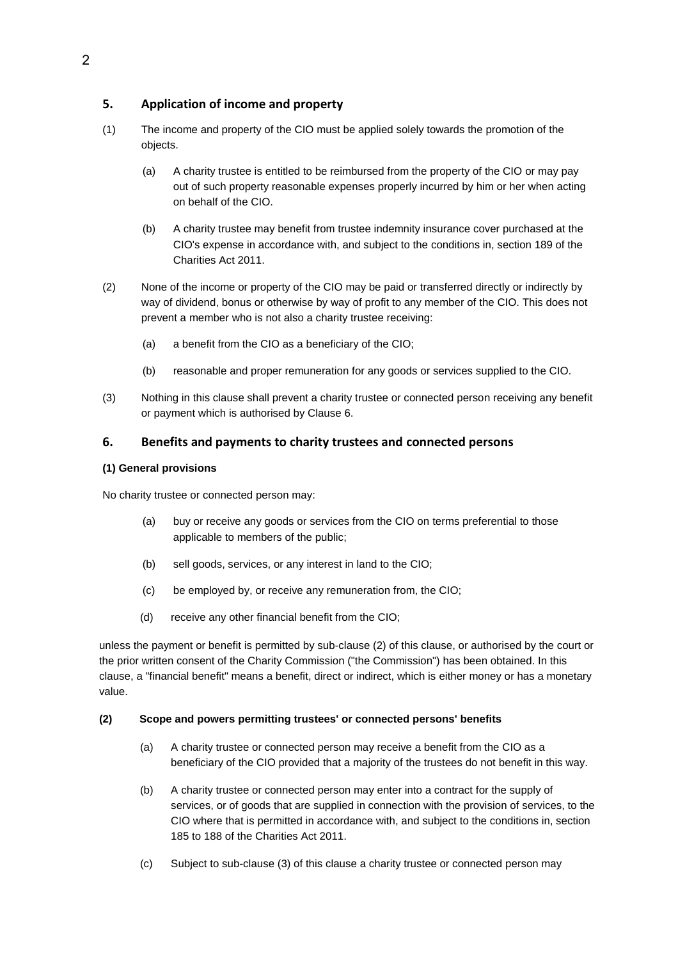# **5. Application of income and property**

- (1) The income and property of the CIO must be applied solely towards the promotion of the objects.
	- (a) A charity trustee is entitled to be reimbursed from the property of the CIO or may pay out of such property reasonable expenses properly incurred by him or her when acting on behalf of the CIO.
	- (b) A charity trustee may benefit from trustee indemnity insurance cover purchased at the CIO's expense in accordance with, and subject to the conditions in, section 189 of the Charities Act 2011.
- (2) None of the income or property of the CIO may be paid or transferred directly or indirectly by way of dividend, bonus or otherwise by way of profit to any member of the CIO. This does not prevent a member who is not also a charity trustee receiving:
	- (a) a benefit from the CIO as a beneficiary of the CIO;
	- (b) reasonable and proper remuneration for any goods or services supplied to the CIO.
- (3) Nothing in this clause shall prevent a charity trustee or connected person receiving any benefit or payment which is authorised by Clause 6.

### **6. Benefits and payments to charity trustees and connected persons**

#### **(1) General provisions**

No charity trustee or connected person may:

- (a) buy or receive any goods or services from the CIO on terms preferential to those applicable to members of the public;
- (b) sell goods, services, or any interest in land to the CIO;
- (c) be employed by, or receive any remuneration from, the CIO;
- (d) receive any other financial benefit from the CIO;

unless the payment or benefit is permitted by sub-clause (2) of this clause, or authorised by the court or the prior written consent of the Charity Commission ("the Commission") has been obtained. In this clause, a "financial benefit" means a benefit, direct or indirect, which is either money or has a monetary value.

#### **(2) Scope and powers permitting trustees' or connected persons' benefits**

- (a) A charity trustee or connected person may receive a benefit from the CIO as a beneficiary of the CIO provided that a majority of the trustees do not benefit in this way.
- (b) A charity trustee or connected person may enter into a contract for the supply of services, or of goods that are supplied in connection with the provision of services, to the CIO where that is permitted in accordance with, and subject to the conditions in, section 185 to 188 of the Charities Act 2011.
- (c) Subject to sub-clause (3) of this clause a charity trustee or connected person may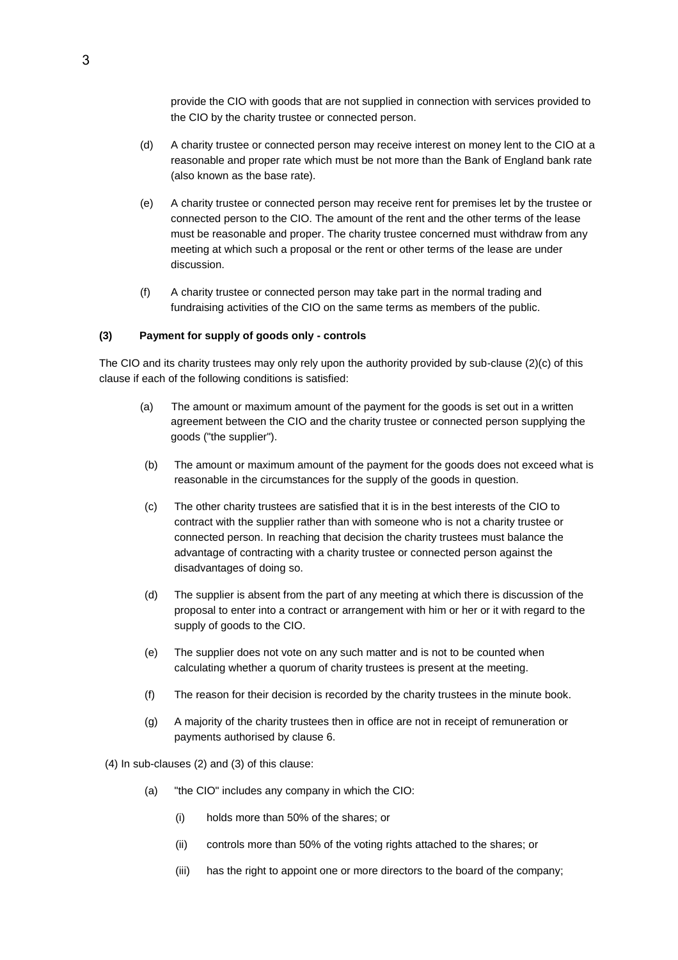provide the CIO with goods that are not supplied in connection with services provided to the CIO by the charity trustee or connected person.

- (d) A charity trustee or connected person may receive interest on money lent to the CIO at a reasonable and proper rate which must be not more than the Bank of England bank rate (also known as the base rate).
- (e) A charity trustee or connected person may receive rent for premises let by the trustee or connected person to the CIO. The amount of the rent and the other terms of the lease must be reasonable and proper. The charity trustee concerned must withdraw from any meeting at which such a proposal or the rent or other terms of the lease are under discussion.
- (f) A charity trustee or connected person may take part in the normal trading and fundraising activities of the CIO on the same terms as members of the public.

#### **(3) Payment for supply of goods only - controls**

The CIO and its charity trustees may only rely upon the authority provided by sub-clause (2)(c) of this clause if each of the following conditions is satisfied:

- (a) The amount or maximum amount of the payment for the goods is set out in a written agreement between the CIO and the charity trustee or connected person supplying the goods ("the supplier").
- (b) The amount or maximum amount of the payment for the goods does not exceed what is reasonable in the circumstances for the supply of the goods in question.
- (c) The other charity trustees are satisfied that it is in the best interests of the CIO to contract with the supplier rather than with someone who is not a charity trustee or connected person. In reaching that decision the charity trustees must balance the advantage of contracting with a charity trustee or connected person against the disadvantages of doing so.
- (d) The supplier is absent from the part of any meeting at which there is discussion of the proposal to enter into a contract or arrangement with him or her or it with regard to the supply of goods to the CIO.
- (e) The supplier does not vote on any such matter and is not to be counted when calculating whether a quorum of charity trustees is present at the meeting.
- (f) The reason for their decision is recorded by the charity trustees in the minute book.
- (g) A majority of the charity trustees then in office are not in receipt of remuneration or payments authorised by clause 6.

(4) In sub-clauses (2) and (3) of this clause:

- (a) "the CIO" includes any company in which the CIO:
	- (i) holds more than 50% of the shares; or
	- (ii) controls more than 50% of the voting rights attached to the shares; or
	- (iii) has the right to appoint one or more directors to the board of the company;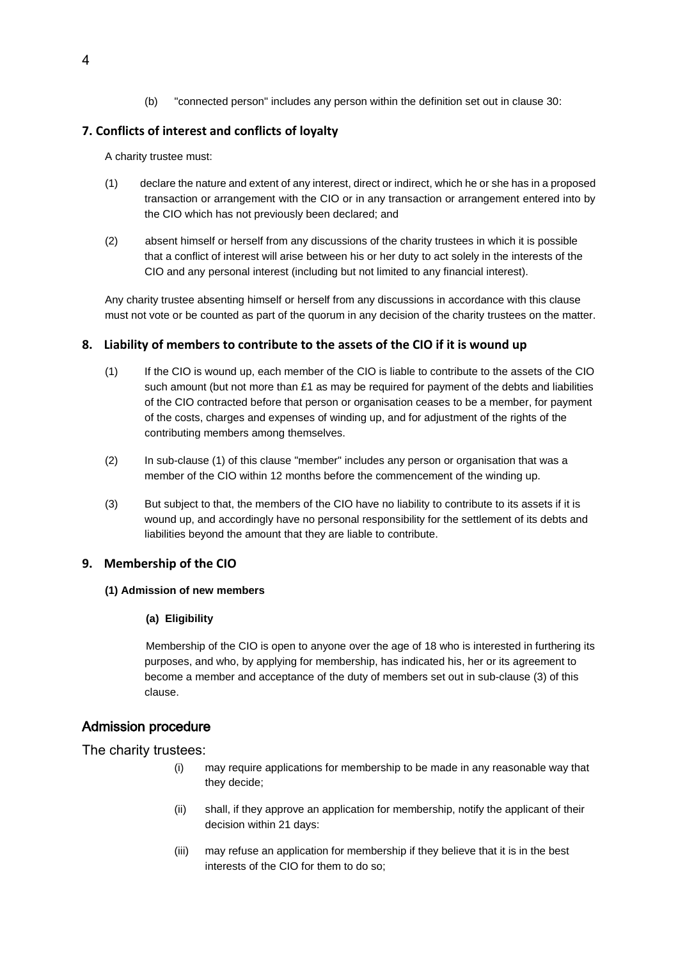(b) "connected person" includes any person within the definition set out in clause 30:

# **7. Conflicts of interest and conflicts of loyalty**

A charity trustee must:

- (1) declare the nature and extent of any interest, direct or indirect, which he or she has in a proposed transaction or arrangement with the CIO or in any transaction or arrangement entered into by the CIO which has not previously been declared; and
- (2) absent himself or herself from any discussions of the charity trustees in which it is possible that a conflict of interest will arise between his or her duty to act solely in the interests of the CIO and any personal interest (including but not limited to any financial interest).

Any charity trustee absenting himself or herself from any discussions in accordance with this clause must not vote or be counted as part of the quorum in any decision of the charity trustees on the matter.

### **8. Liability of members to contribute to the assets of the CIO if it is wound up**

- (1) If the CIO is wound up, each member of the CIO is liable to contribute to the assets of the CIO such amount (but not more than £1 as may be required for payment of the debts and liabilities of the CIO contracted before that person or organisation ceases to be a member, for payment of the costs, charges and expenses of winding up, and for adjustment of the rights of the contributing members among themselves.
- (2) In sub-clause (1) of this clause "member" includes any person or organisation that was a member of the CIO within 12 months before the commencement of the winding up.
- (3) But subject to that, the members of the CIO have no liability to contribute to its assets if it is wound up, and accordingly have no personal responsibility for the settlement of its debts and liabilities beyond the amount that they are liable to contribute.

### **9. Membership of the CIO**

#### **(1) Admission of new members**

#### **(a) Eligibility**

Membership of the CIO is open to anyone over the age of 18 who is interested in furthering its purposes, and who, by applying for membership, has indicated his, her or its agreement to become a member and acceptance of the duty of members set out in sub-clause (3) of this clause.

# Admission procedure

The charity trustees:

- (i) may require applications for membership to be made in any reasonable way that they decide;
- (ii) shall, if they approve an application for membership, notify the applicant of their decision within 21 days:
- (iii) may refuse an application for membership if they believe that it is in the best interests of the CIO for them to do so;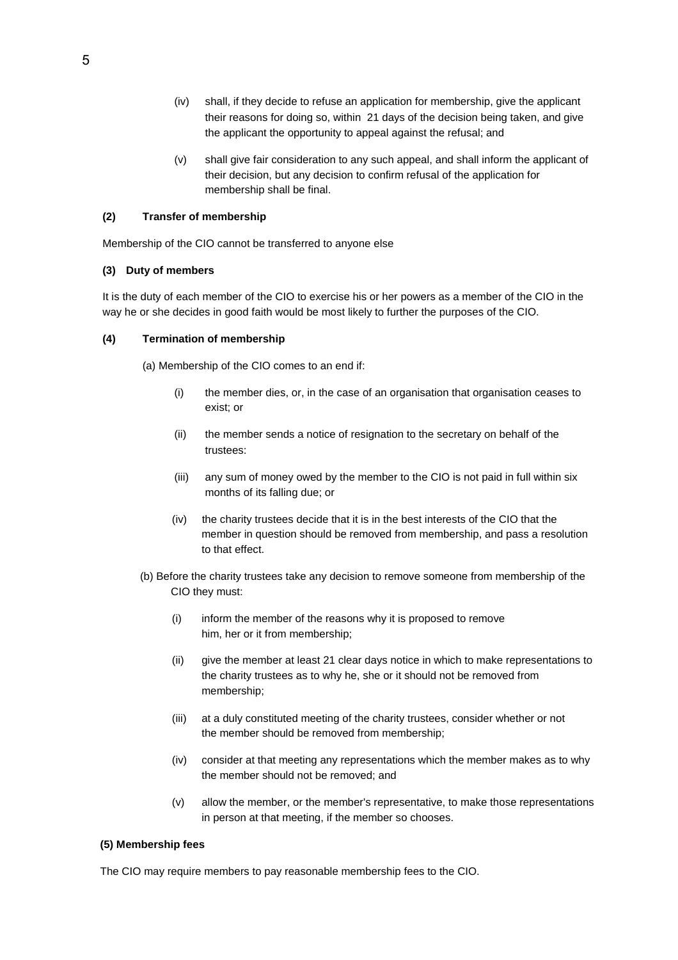- (iv) shall, if they decide to refuse an application for membership, give the applicant their reasons for doing so, within 21 days of the decision being taken, and give the applicant the opportunity to appeal against the refusal; and
- (v) shall give fair consideration to any such appeal, and shall inform the applicant of their decision, but any decision to confirm refusal of the application for membership shall be final.

### **(2) Transfer of membership**

Membership of the CIO cannot be transferred to anyone else

### **(3) Duty of members**

It is the duty of each member of the CIO to exercise his or her powers as a member of the CIO in the way he or she decides in good faith would be most likely to further the purposes of the CIO.

### **(4) Termination of membership**

(a) Membership of the CIO comes to an end if:

- (i) the member dies, or, in the case of an organisation that organisation ceases to exist; or
- (ii) the member sends a notice of resignation to the secretary on behalf of the trustees:
- (iii) any sum of money owed by the member to the CIO is not paid in full within six months of its falling due; or
- (iv) the charity trustees decide that it is in the best interests of the CIO that the member in question should be removed from membership, and pass a resolution to that effect.
- (b) Before the charity trustees take any decision to remove someone from membership of the CIO they must:
	- (i) inform the member of the reasons why it is proposed to remove him, her or it from membership;
	- (ii) give the member at least 21 clear days notice in which to make representations to the charity trustees as to why he, she or it should not be removed from membership;
	- (iii) at a duly constituted meeting of the charity trustees, consider whether or not the member should be removed from membership;
	- (iv) consider at that meeting any representations which the member makes as to why the member should not be removed; and
	- (v) allow the member, or the member's representative, to make those representations in person at that meeting, if the member so chooses.

#### **(5) Membership fees**

The CIO may require members to pay reasonable membership fees to the CIO.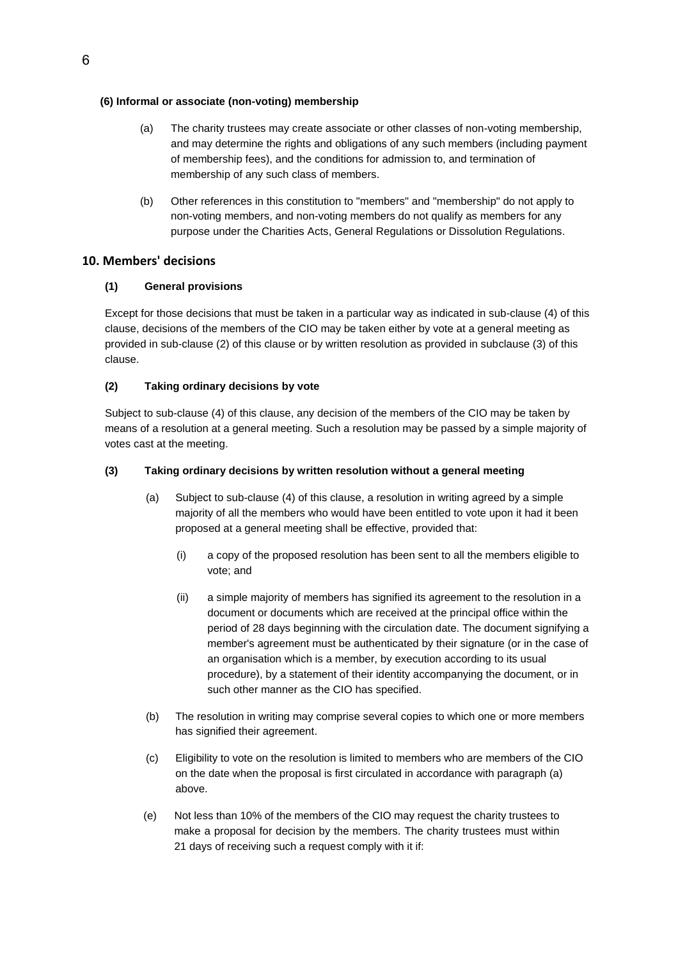#### **(6) Informal or associate (non-voting) membership**

- (a) The charity trustees may create associate or other classes of non-voting membership, and may determine the rights and obligations of any such members (including payment of membership fees), and the conditions for admission to, and termination of membership of any such class of members.
- (b) Other references in this constitution to "members" and "membership" do not apply to non-voting members, and non-voting members do not qualify as members for any purpose under the Charities Acts, General Regulations or Dissolution Regulations.

# **10. Members' decisions**

# **(1) General provisions**

Except for those decisions that must be taken in a particular way as indicated in sub-clause (4) of this clause, decisions of the members of the CIO may be taken either by vote at a general meeting as provided in sub-clause (2) of this clause or by written resolution as provided in subclause (3) of this clause.

### **(2) Taking ordinary decisions by vote**

Subject to sub-clause (4) of this clause, any decision of the members of the CIO may be taken by means of a resolution at a general meeting. Such a resolution may be passed by a simple majority of votes cast at the meeting.

### **(3) Taking ordinary decisions by written resolution without a general meeting**

- (a) Subject to sub-clause (4) of this clause, a resolution in writing agreed by a simple majority of all the members who would have been entitled to vote upon it had it been proposed at a general meeting shall be effective, provided that:
	- (i) a copy of the proposed resolution has been sent to all the members eligible to vote; and
	- (ii) a simple majority of members has signified its agreement to the resolution in a document or documents which are received at the principal office within the period of 28 days beginning with the circulation date. The document signifying a member's agreement must be authenticated by their signature (or in the case of an organisation which is a member, by execution according to its usual procedure), by a statement of their identity accompanying the document, or in such other manner as the CIO has specified.
- (b) The resolution in writing may comprise several copies to which one or more members has signified their agreement.
- (c) Eligibility to vote on the resolution is limited to members who are members of the CIO on the date when the proposal is first circulated in accordance with paragraph (a) above.
- (e) Not less than 10% of the members of the CIO may request the charity trustees to make a proposal for decision by the members. The charity trustees must within 21 days of receiving such a request comply with it if: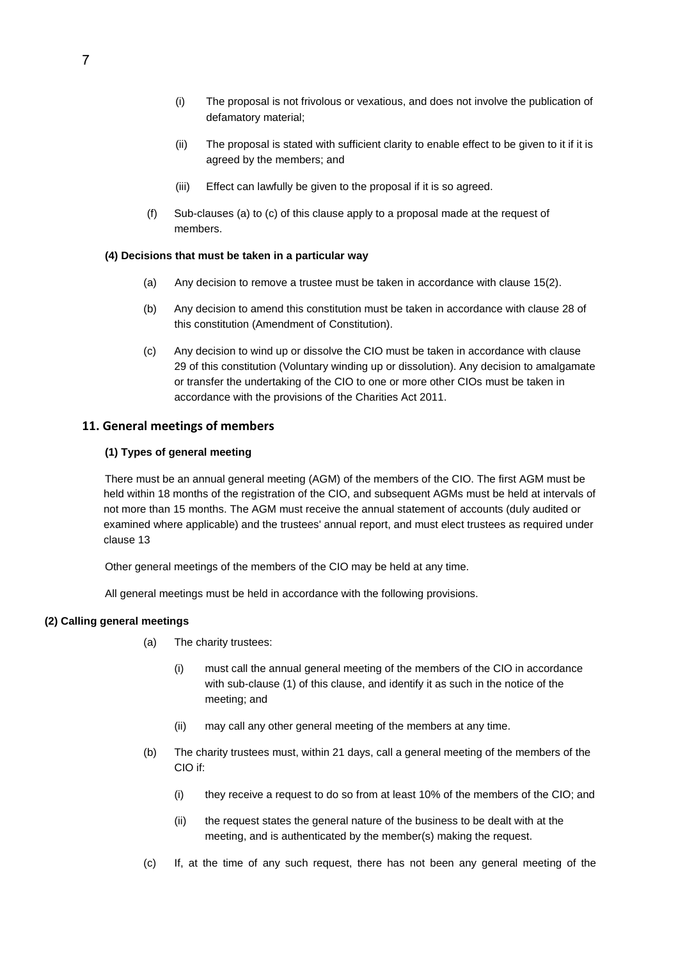- (i) The proposal is not frivolous or vexatious, and does not involve the publication of defamatory material;
- (ii) The proposal is stated with sufficient clarity to enable effect to be given to it if it is agreed by the members; and
- (iii) Effect can lawfully be given to the proposal if it is so agreed.
- (f) Sub-clauses (a) to (c) of this clause apply to a proposal made at the request of members.

#### **(4) Decisions that must be taken in a particular way**

- (a) Any decision to remove a trustee must be taken in accordance with clause 15(2).
- (b) Any decision to amend this constitution must be taken in accordance with clause 28 of this constitution (Amendment of Constitution).
- (c) Any decision to wind up or dissolve the CIO must be taken in accordance with clause 29 of this constitution (Voluntary winding up or dissolution). Any decision to amalgamate or transfer the undertaking of the CIO to one or more other CIOs must be taken in accordance with the provisions of the Charities Act 2011.

### **11. General meetings of members**

#### **(1) Types of general meeting**

There must be an annual general meeting (AGM) of the members of the CIO. The first AGM must be held within 18 months of the registration of the CIO, and subsequent AGMs must be held at intervals of not more than 15 months. The AGM must receive the annual statement of accounts (duly audited or examined where applicable) and the trustees' annual report, and must elect trustees as required under clause 13

Other general meetings of the members of the CIO may be held at any time.

All general meetings must be held in accordance with the following provisions.

#### **(2) Calling general meetings**

- (a) The charity trustees:
	- (i) must call the annual general meeting of the members of the CIO in accordance with sub-clause (1) of this clause, and identify it as such in the notice of the meeting; and
	- (ii) may call any other general meeting of the members at any time.
- (b) The charity trustees must, within 21 days, call a general meeting of the members of the CIO if:
	- (i) they receive a request to do so from at least 10% of the members of the CIO; and
	- (ii) the request states the general nature of the business to be dealt with at the meeting, and is authenticated by the member(s) making the request.
- (c) If, at the time of any such request, there has not been any general meeting of the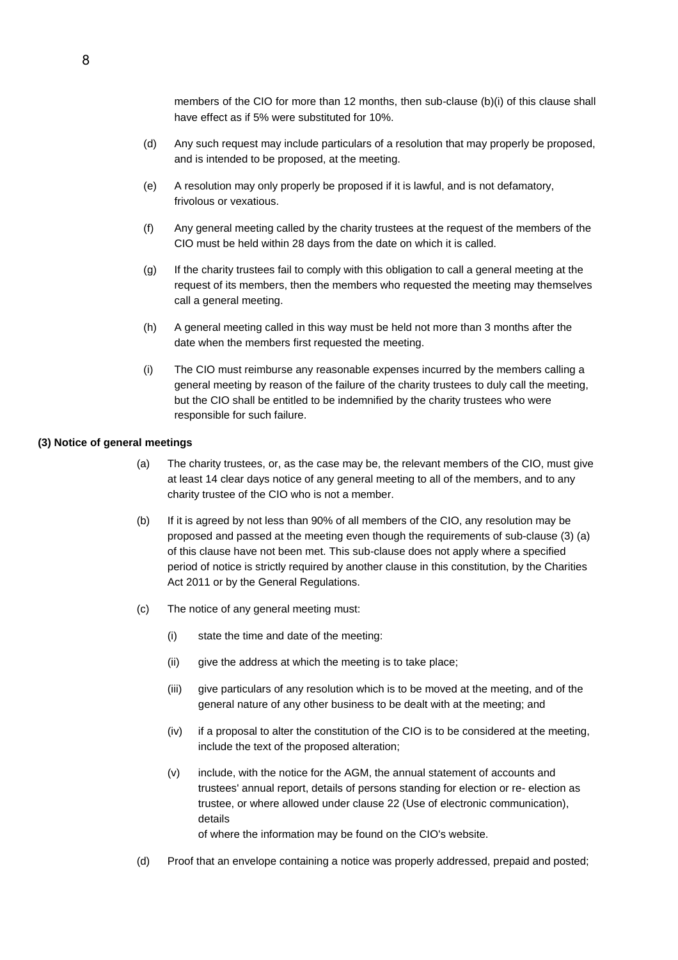members of the CIO for more than 12 months, then sub-clause (b)(i) of this clause shall have effect as if 5% were substituted for 10%.

- (d) Any such request may include particulars of a resolution that may properly be proposed, and is intended to be proposed, at the meeting.
- (e) A resolution may only properly be proposed if it is lawful, and is not defamatory, frivolous or vexatious.
- (f) Any general meeting called by the charity trustees at the request of the members of the CIO must be held within 28 days from the date on which it is called.
- (g) If the charity trustees fail to comply with this obligation to call a general meeting at the request of its members, then the members who requested the meeting may themselves call a general meeting.
- (h) A general meeting called in this way must be held not more than 3 months after the date when the members first requested the meeting.
- (i) The CIO must reimburse any reasonable expenses incurred by the members calling a general meeting by reason of the failure of the charity trustees to duly call the meeting, but the CIO shall be entitled to be indemnified by the charity trustees who were responsible for such failure.

#### **(3) Notice of general meetings**

- (a) The charity trustees, or, as the case may be, the relevant members of the CIO, must give at least 14 clear days notice of any general meeting to all of the members, and to any charity trustee of the CIO who is not a member.
- (b) If it is agreed by not less than 90% of all members of the CIO, any resolution may be proposed and passed at the meeting even though the requirements of sub-clause (3) (a) of this clause have not been met. This sub-clause does not apply where a specified period of notice is strictly required by another clause in this constitution, by the Charities Act 2011 or by the General Regulations.
- (c) The notice of any general meeting must:
	- (i) state the time and date of the meeting:
	- (ii) give the address at which the meeting is to take place;
	- (iii) give particulars of any resolution which is to be moved at the meeting, and of the general nature of any other business to be dealt with at the meeting; and
	- (iv) if a proposal to alter the constitution of the CIO is to be considered at the meeting, include the text of the proposed alteration;
	- (v) include, with the notice for the AGM, the annual statement of accounts and trustees' annual report, details of persons standing for election or re- election as trustee, or where allowed under clause 22 (Use of electronic communication), details

of where the information may be found on the CIO's website.

(d) Proof that an envelope containing a notice was properly addressed, prepaid and posted;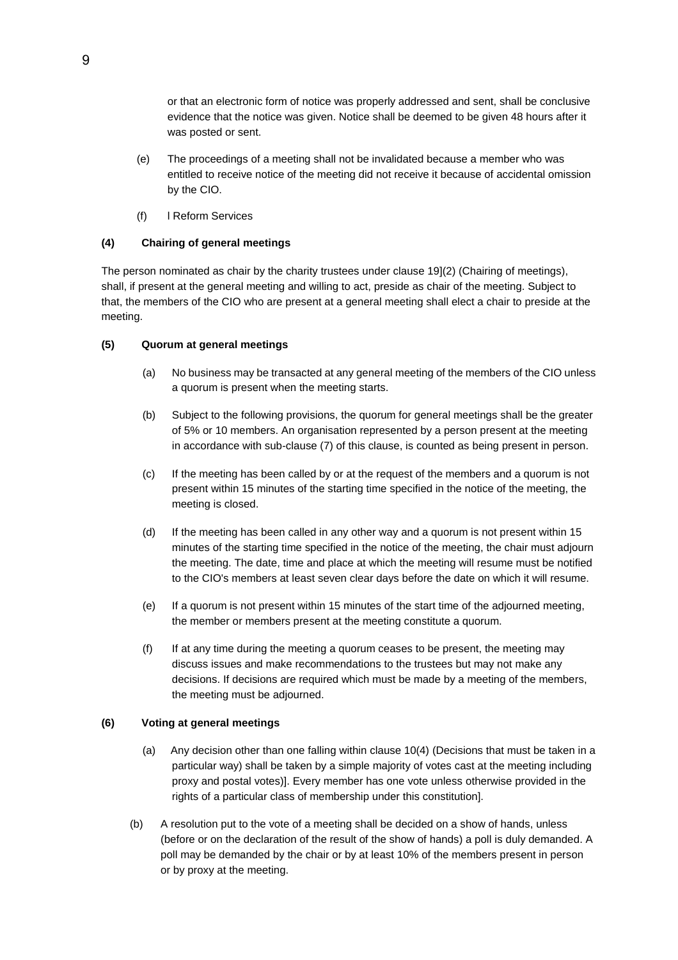or that an electronic form of notice was properly addressed and sent, shall be conclusive evidence that the notice was given. Notice shall be deemed to be given 48 hours after it was posted or sent.

- (e) The proceedings of a meeting shall not be invalidated because a member who was entitled to receive notice of the meeting did not receive it because of accidental omission by the CIO.
- (f) l Reform Services

### **(4) Chairing of general meetings**

The person nominated as chair by the charity trustees under clause 19](2) (Chairing of meetings), shall, if present at the general meeting and willing to act, preside as chair of the meeting. Subject to that, the members of the CIO who are present at a general meeting shall elect a chair to preside at the meeting.

### **(5) Quorum at general meetings**

- (a) No business may be transacted at any general meeting of the members of the CIO unless a quorum is present when the meeting starts.
- (b) Subject to the following provisions, the quorum for general meetings shall be the greater of 5% or 10 members. An organisation represented by a person present at the meeting in accordance with sub-clause (7) of this clause, is counted as being present in person.
- (c) If the meeting has been called by or at the request of the members and a quorum is not present within 15 minutes of the starting time specified in the notice of the meeting, the meeting is closed.
- (d) If the meeting has been called in any other way and a quorum is not present within 15 minutes of the starting time specified in the notice of the meeting, the chair must adjourn the meeting. The date, time and place at which the meeting will resume must be notified to the CIO's members at least seven clear days before the date on which it will resume.
- (e) If a quorum is not present within 15 minutes of the start time of the adjourned meeting, the member or members present at the meeting constitute a quorum.
- (f) If at any time during the meeting a quorum ceases to be present, the meeting may discuss issues and make recommendations to the trustees but may not make any decisions. If decisions are required which must be made by a meeting of the members, the meeting must be adjourned.

#### **(6) Voting at general meetings**

- (a) Any decision other than one falling within clause 10(4) (Decisions that must be taken in a particular way) shall be taken by a simple majority of votes cast at the meeting including proxy and postal votes)]. Every member has one vote unless otherwise provided in the rights of a particular class of membership under this constitution].
- (b) A resolution put to the vote of a meeting shall be decided on a show of hands, unless (before or on the declaration of the result of the show of hands) a poll is duly demanded. A poll may be demanded by the chair or by at least 10% of the members present in person or by proxy at the meeting.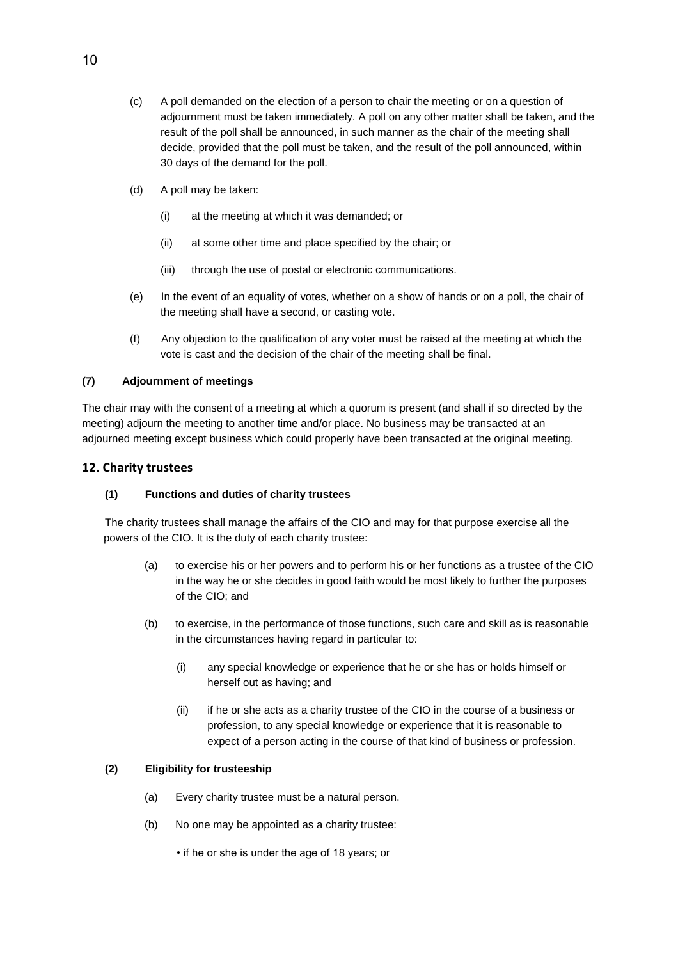- (c) A poll demanded on the election of a person to chair the meeting or on a question of adjournment must be taken immediately. A poll on any other matter shall be taken, and the result of the poll shall be announced, in such manner as the chair of the meeting shall decide, provided that the poll must be taken, and the result of the poll announced, within 30 days of the demand for the poll.
- (d) A poll may be taken:
	- (i) at the meeting at which it was demanded; or
	- (ii) at some other time and place specified by the chair; or
	- (iii) through the use of postal or electronic communications.
- (e) In the event of an equality of votes, whether on a show of hands or on a poll, the chair of the meeting shall have a second, or casting vote.
- (f) Any objection to the qualification of any voter must be raised at the meeting at which the vote is cast and the decision of the chair of the meeting shall be final.

### **(7) Adjournment of meetings**

The chair may with the consent of a meeting at which a quorum is present (and shall if so directed by the meeting) adjourn the meeting to another time and/or place. No business may be transacted at an adjourned meeting except business which could properly have been transacted at the original meeting.

# **12. Charity trustees**

### **(1) Functions and duties of charity trustees**

The charity trustees shall manage the affairs of the CIO and may for that purpose exercise all the powers of the CIO. It is the duty of each charity trustee:

- (a) to exercise his or her powers and to perform his or her functions as a trustee of the CIO in the way he or she decides in good faith would be most likely to further the purposes of the CIO; and
- (b) to exercise, in the performance of those functions, such care and skill as is reasonable in the circumstances having regard in particular to:
	- (i) any special knowledge or experience that he or she has or holds himself or herself out as having; and
	- (ii) if he or she acts as a charity trustee of the CIO in the course of a business or profession, to any special knowledge or experience that it is reasonable to expect of a person acting in the course of that kind of business or profession.

#### **(2) Eligibility for trusteeship**

- (a) Every charity trustee must be a natural person.
- (b) No one may be appointed as a charity trustee:
	- if he or she is under the age of 18 years; or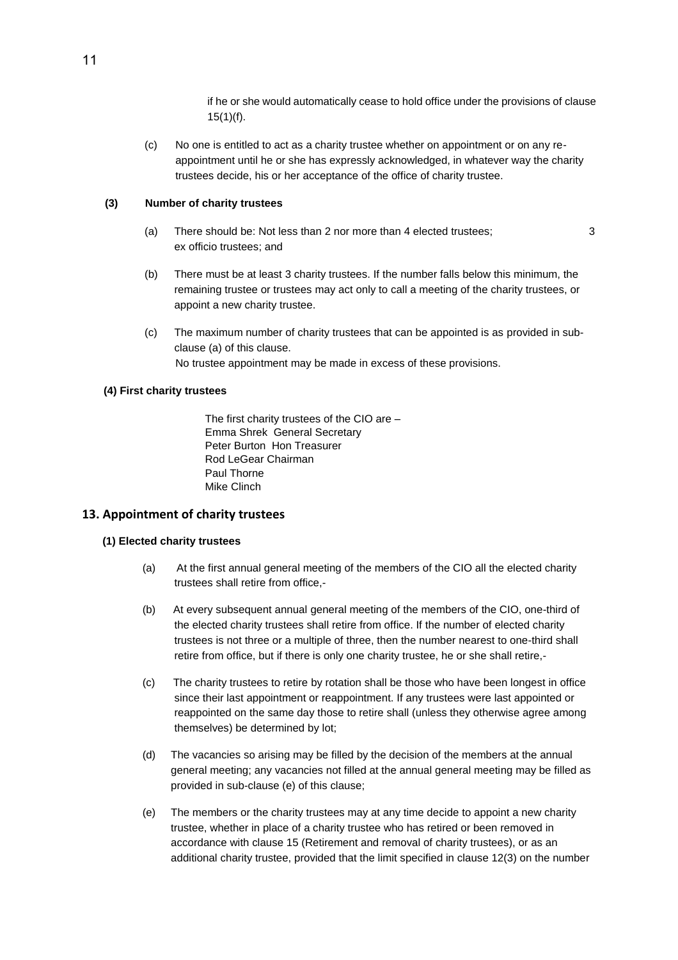if he or she would automatically cease to hold office under the provisions of clause 15(1)(f).

(c) No one is entitled to act as a charity trustee whether on appointment or on any reappointment until he or she has expressly acknowledged, in whatever way the charity trustees decide, his or her acceptance of the office of charity trustee.

#### **(3) Number of charity trustees**

- (a) There should be: Not less than 2 nor more than 4 elected trustees; 3 ex officio trustees; and
- (b) There must be at least 3 charity trustees. If the number falls below this minimum, the remaining trustee or trustees may act only to call a meeting of the charity trustees, or appoint a new charity trustee.
- (c) The maximum number of charity trustees that can be appointed is as provided in subclause (a) of this clause. No trustee appointment may be made in excess of these provisions.

#### **(4) First charity trustees**

The first charity trustees of the CIO are – Emma Shrek General Secretary Peter Burton Hon Treasurer Rod LeGear Chairman Paul Thorne Mike Clinch

#### **13. Appointment of charity trustees**

#### **(1) Elected charity trustees**

- (a) At the first annual general meeting of the members of the CIO all the elected charity trustees shall retire from office,-
- (b) At every subsequent annual general meeting of the members of the CIO, one-third of the elected charity trustees shall retire from office. If the number of elected charity trustees is not three or a multiple of three, then the number nearest to one-third shall retire from office, but if there is only one charity trustee, he or she shall retire,-
- (c) The charity trustees to retire by rotation shall be those who have been longest in office since their last appointment or reappointment. If any trustees were last appointed or reappointed on the same day those to retire shall (unless they otherwise agree among themselves) be determined by lot;
- (d) The vacancies so arising may be filled by the decision of the members at the annual general meeting; any vacancies not filled at the annual general meeting may be filled as provided in sub-clause (e) of this clause;
- (e) The members or the charity trustees may at any time decide to appoint a new charity trustee, whether in place of a charity trustee who has retired or been removed in accordance with clause 15 (Retirement and removal of charity trustees), or as an additional charity trustee, provided that the limit specified in clause 12(3) on the number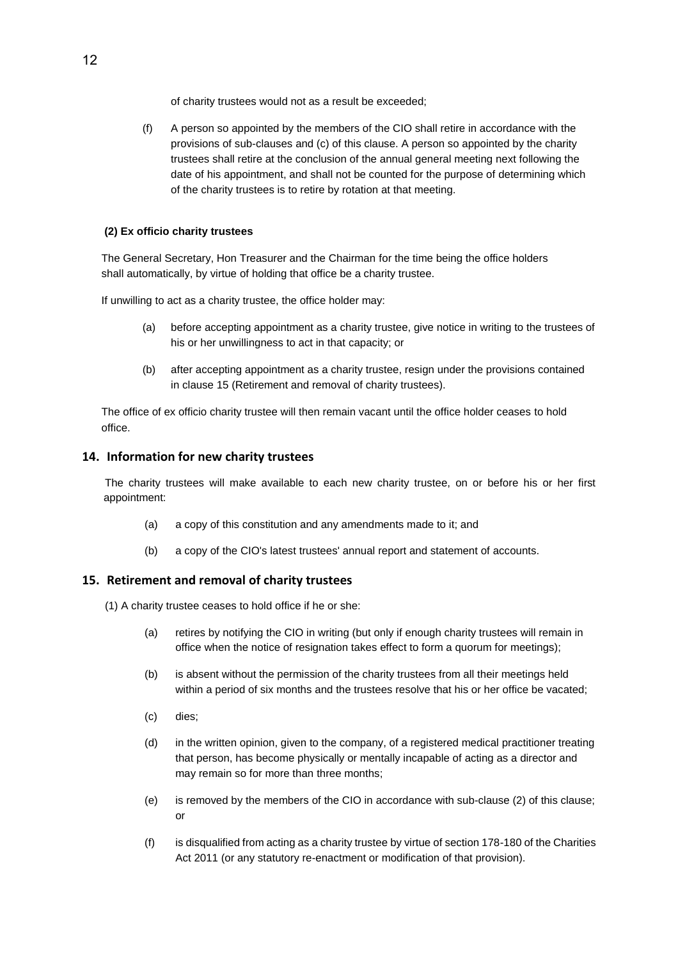of charity trustees would not as a result be exceeded;

(f) A person so appointed by the members of the CIO shall retire in accordance with the provisions of sub-clauses and (c) of this clause. A person so appointed by the charity trustees shall retire at the conclusion of the annual general meeting next following the date of his appointment, and shall not be counted for the purpose of determining which of the charity trustees is to retire by rotation at that meeting.

### **(2) Ex officio charity trustees**

The General Secretary, Hon Treasurer and the Chairman for the time being the office holders shall automatically, by virtue of holding that office be a charity trustee.

If unwilling to act as a charity trustee, the office holder may:

- (a) before accepting appointment as a charity trustee, give notice in writing to the trustees of his or her unwillingness to act in that capacity; or
- (b) after accepting appointment as a charity trustee, resign under the provisions contained in clause 15 (Retirement and removal of charity trustees).

The office of ex officio charity trustee will then remain vacant until the office holder ceases to hold office.

### **14. Information for new charity trustees**

The charity trustees will make available to each new charity trustee, on or before his or her first appointment:

- (a) a copy of this constitution and any amendments made to it; and
- (b) a copy of the CIO's latest trustees' annual report and statement of accounts.

### **15. Retirement and removal of charity trustees**

(1) A charity trustee ceases to hold office if he or she:

- (a) retires by notifying the CIO in writing (but only if enough charity trustees will remain in office when the notice of resignation takes effect to form a quorum for meetings);
- (b) is absent without the permission of the charity trustees from all their meetings held within a period of six months and the trustees resolve that his or her office be vacated;
- (c) dies;
- (d) in the written opinion, given to the company, of a registered medical practitioner treating that person, has become physically or mentally incapable of acting as a director and may remain so for more than three months;
- (e) is removed by the members of the CIO in accordance with sub-clause (2) of this clause; or
- (f) is disqualified from acting as a charity trustee by virtue of section 178-180 of the Charities Act 2011 (or any statutory re-enactment or modification of that provision).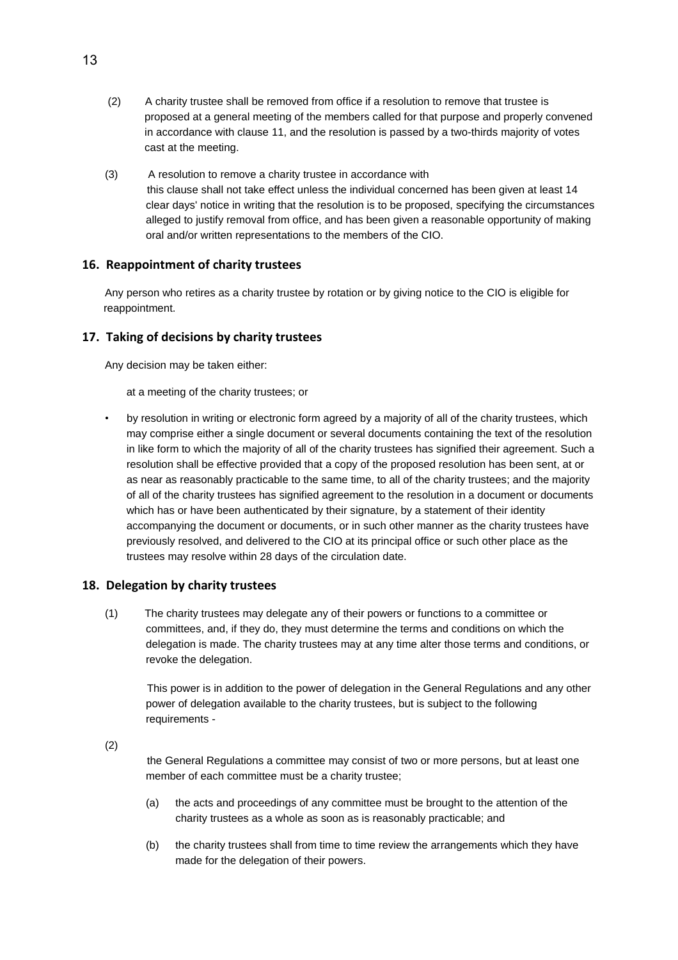- (2) A charity trustee shall be removed from office if a resolution to remove that trustee is proposed at a general meeting of the members called for that purpose and properly convened in accordance with clause 11, and the resolution is passed by a two-thirds majority of votes cast at the meeting.
- (3) A resolution to remove a charity trustee in accordance with this clause shall not take effect unless the individual concerned has been given at least 14 clear days' notice in writing that the resolution is to be proposed, specifying the circumstances alleged to justify removal from office, and has been given a reasonable opportunity of making oral and/or written representations to the members of the CIO.

### **16. Reappointment of charity trustees**

Any person who retires as a charity trustee by rotation or by giving notice to the CIO is eligible for reappointment.

# **17. Taking of decisions by charity trustees**

Any decision may be taken either:

at a meeting of the charity trustees; or

• by resolution in writing or electronic form agreed by a majority of all of the charity trustees, which may comprise either a single document or several documents containing the text of the resolution in like form to which the majority of all of the charity trustees has signified their agreement. Such a resolution shall be effective provided that a copy of the proposed resolution has been sent, at or as near as reasonably practicable to the same time, to all of the charity trustees; and the majority of all of the charity trustees has signified agreement to the resolution in a document or documents which has or have been authenticated by their signature, by a statement of their identity accompanying the document or documents, or in such other manner as the charity trustees have previously resolved, and delivered to the CIO at its principal office or such other place as the trustees may resolve within 28 days of the circulation date.

### **18. Delegation by charity trustees**

(1) The charity trustees may delegate any of their powers or functions to a committee or committees, and, if they do, they must determine the terms and conditions on which the delegation is made. The charity trustees may at any time alter those terms and conditions, or revoke the delegation.

This power is in addition to the power of delegation in the General Regulations and any other power of delegation available to the charity trustees, but is subject to the following requirements -

### (2)

the General Regulations a committee may consist of two or more persons, but at least one member of each committee must be a charity trustee;

- (a) the acts and proceedings of any committee must be brought to the attention of the charity trustees as a whole as soon as is reasonably practicable; and
- (b) the charity trustees shall from time to time review the arrangements which they have made for the delegation of their powers.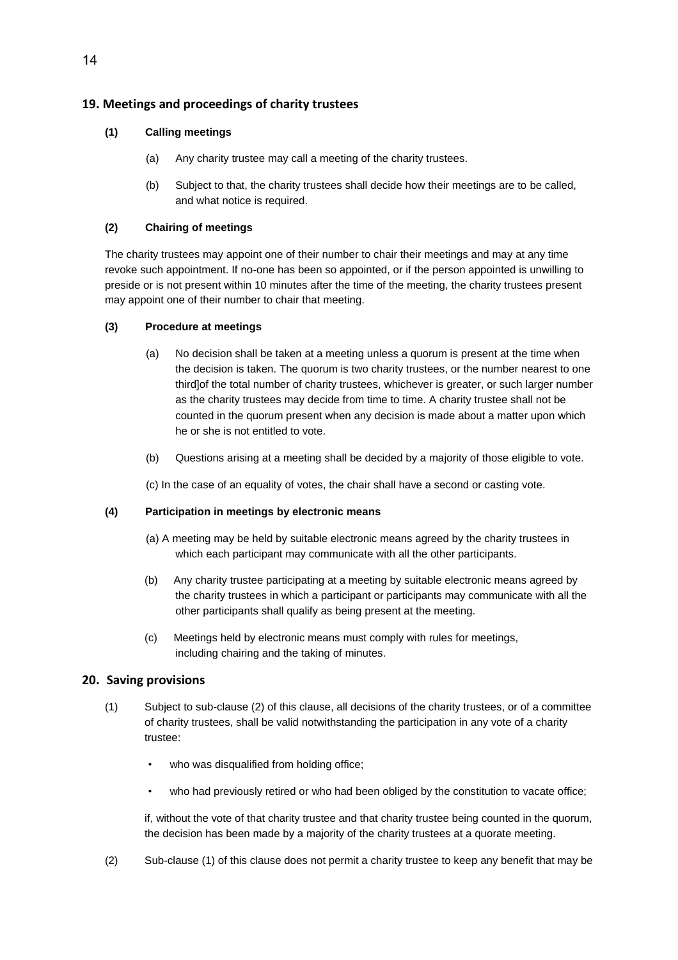# **19. Meetings and proceedings of charity trustees**

# **(1) Calling meetings**

- (a) Any charity trustee may call a meeting of the charity trustees.
- (b) Subject to that, the charity trustees shall decide how their meetings are to be called, and what notice is required.

### **(2) Chairing of meetings**

The charity trustees may appoint one of their number to chair their meetings and may at any time revoke such appointment. If no-one has been so appointed, or if the person appointed is unwilling to preside or is not present within 10 minutes after the time of the meeting, the charity trustees present may appoint one of their number to chair that meeting.

### **(3) Procedure at meetings**

- (a) No decision shall be taken at a meeting unless a quorum is present at the time when the decision is taken. The quorum is two charity trustees, or the number nearest to one third]of the total number of charity trustees, whichever is greater, or such larger number as the charity trustees may decide from time to time. A charity trustee shall not be counted in the quorum present when any decision is made about a matter upon which he or she is not entitled to vote.
- (b) Questions arising at a meeting shall be decided by a majority of those eligible to vote.
- (c) In the case of an equality of votes, the chair shall have a second or casting vote.

### **(4) Participation in meetings by electronic means**

- (a) A meeting may be held by suitable electronic means agreed by the charity trustees in which each participant may communicate with all the other participants.
- (b) Any charity trustee participating at a meeting by suitable electronic means agreed by the charity trustees in which a participant or participants may communicate with all the other participants shall qualify as being present at the meeting.
- (c) Meetings held by electronic means must comply with rules for meetings, including chairing and the taking of minutes.

### **20. Saving provisions**

- (1) Subject to sub-clause (2) of this clause, all decisions of the charity trustees, or of a committee of charity trustees, shall be valid notwithstanding the participation in any vote of a charity trustee:
	- who was disqualified from holding office;
	- who had previously retired or who had been obliged by the constitution to vacate office;

if, without the vote of that charity trustee and that charity trustee being counted in the quorum, the decision has been made by a majority of the charity trustees at a quorate meeting.

(2) Sub-clause (1) of this clause does not permit a charity trustee to keep any benefit that may be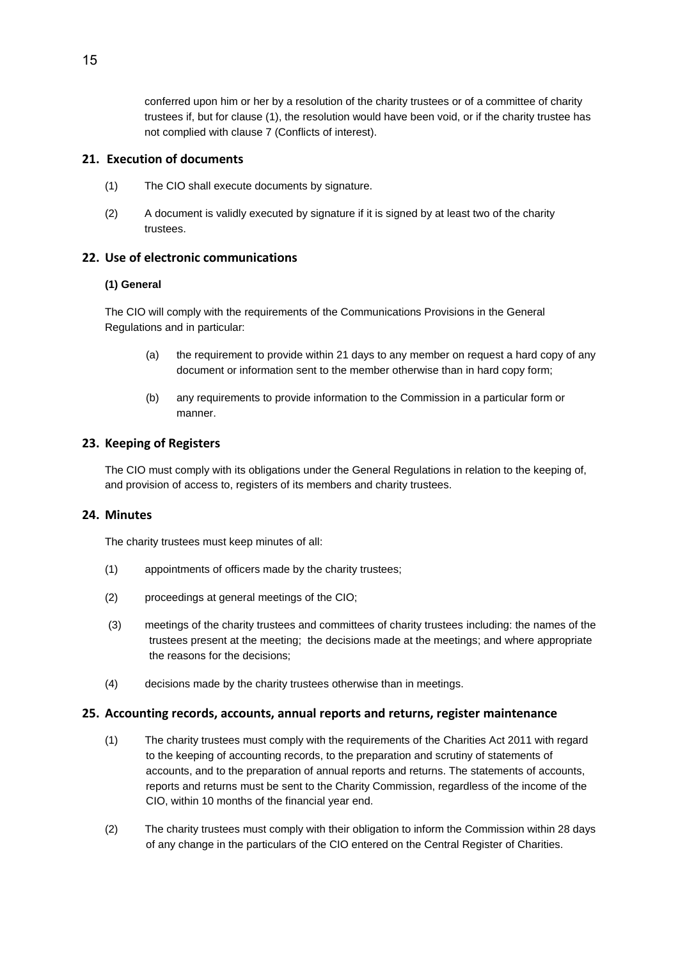conferred upon him or her by a resolution of the charity trustees or of a committee of charity trustees if, but for clause (1), the resolution would have been void, or if the charity trustee has not complied with clause 7 (Conflicts of interest).

# **21. Execution of documents**

- (1) The CIO shall execute documents by signature.
- (2) A document is validly executed by signature if it is signed by at least two of the charity trustees.

# **22. Use of electronic communications**

### **(1) General**

The CIO will comply with the requirements of the Communications Provisions in the General Regulations and in particular:

- (a) the requirement to provide within 21 days to any member on request a hard copy of any document or information sent to the member otherwise than in hard copy form;
- (b) any requirements to provide information to the Commission in a particular form or manner.

# **23. Keeping of Registers**

The CIO must comply with its obligations under the General Regulations in relation to the keeping of, and provision of access to, registers of its members and charity trustees.

### **24. Minutes**

The charity trustees must keep minutes of all:

- (1) appointments of officers made by the charity trustees;
- (2) proceedings at general meetings of the CIO;
- (3) meetings of the charity trustees and committees of charity trustees including: the names of the trustees present at the meeting; the decisions made at the meetings; and where appropriate the reasons for the decisions;
- (4) decisions made by the charity trustees otherwise than in meetings.

### **25. Accounting records, accounts, annual reports and returns, register maintenance**

- (1) The charity trustees must comply with the requirements of the Charities Act 2011 with regard to the keeping of accounting records, to the preparation and scrutiny of statements of accounts, and to the preparation of annual reports and returns. The statements of accounts, reports and returns must be sent to the Charity Commission, regardless of the income of the CIO, within 10 months of the financial year end.
- (2) The charity trustees must comply with their obligation to inform the Commission within 28 days of any change in the particulars of the CIO entered on the Central Register of Charities.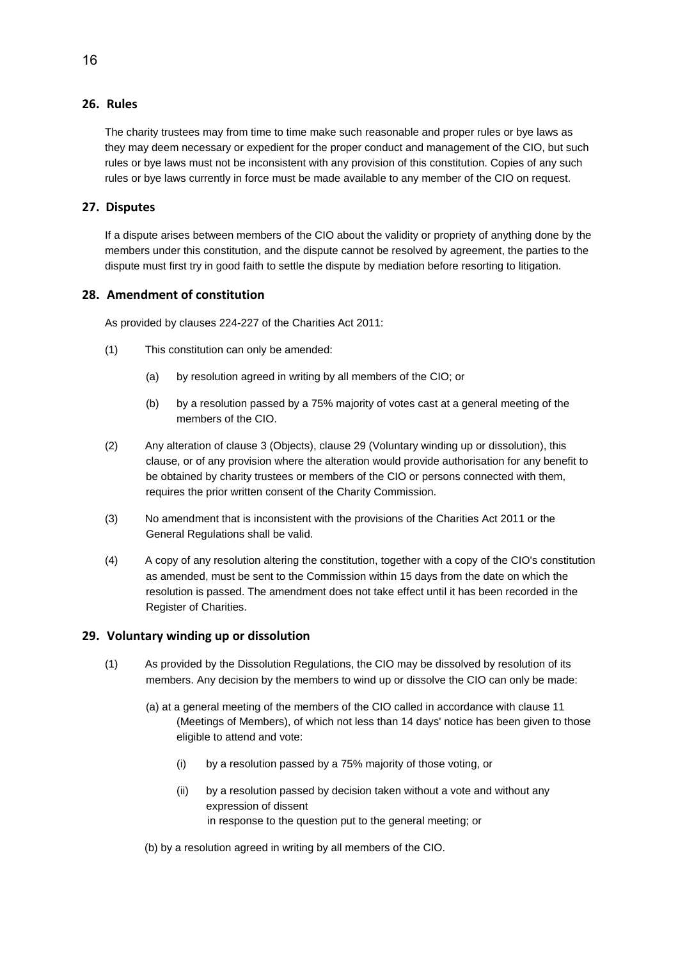### **26. Rules**

The charity trustees may from time to time make such reasonable and proper rules or bye laws as they may deem necessary or expedient for the proper conduct and management of the CIO, but such rules or bye laws must not be inconsistent with any provision of this constitution. Copies of any such rules or bye laws currently in force must be made available to any member of the CIO on request.

# **27. Disputes**

If a dispute arises between members of the CIO about the validity or propriety of anything done by the members under this constitution, and the dispute cannot be resolved by agreement, the parties to the dispute must first try in good faith to settle the dispute by mediation before resorting to litigation.

# **28. Amendment of constitution**

As provided by clauses 224-227 of the Charities Act 2011:

- (1) This constitution can only be amended:
	- (a) by resolution agreed in writing by all members of the CIO; or
	- (b) by a resolution passed by a 75% majority of votes cast at a general meeting of the members of the CIO.
- (2) Any alteration of clause 3 (Objects), clause 29 (Voluntary winding up or dissolution), this clause, or of any provision where the alteration would provide authorisation for any benefit to be obtained by charity trustees or members of the CIO or persons connected with them, requires the prior written consent of the Charity Commission.
- (3) No amendment that is inconsistent with the provisions of the Charities Act 2011 or the General Regulations shall be valid.
- (4) A copy of any resolution altering the constitution, together with a copy of the CIO's constitution as amended, must be sent to the Commission within 15 days from the date on which the resolution is passed. The amendment does not take effect until it has been recorded in the Register of Charities.

### **29. Voluntary winding up or dissolution**

- (1) As provided by the Dissolution Regulations, the CIO may be dissolved by resolution of its members. Any decision by the members to wind up or dissolve the CIO can only be made:
	- (a) at a general meeting of the members of the CIO called in accordance with clause 11 (Meetings of Members), of which not less than 14 days' notice has been given to those eligible to attend and vote:
		- (i) by a resolution passed by a 75% majority of those voting, or
		- (ii) by a resolution passed by decision taken without a vote and without any expression of dissent in response to the question put to the general meeting; or
	- (b) by a resolution agreed in writing by all members of the CIO.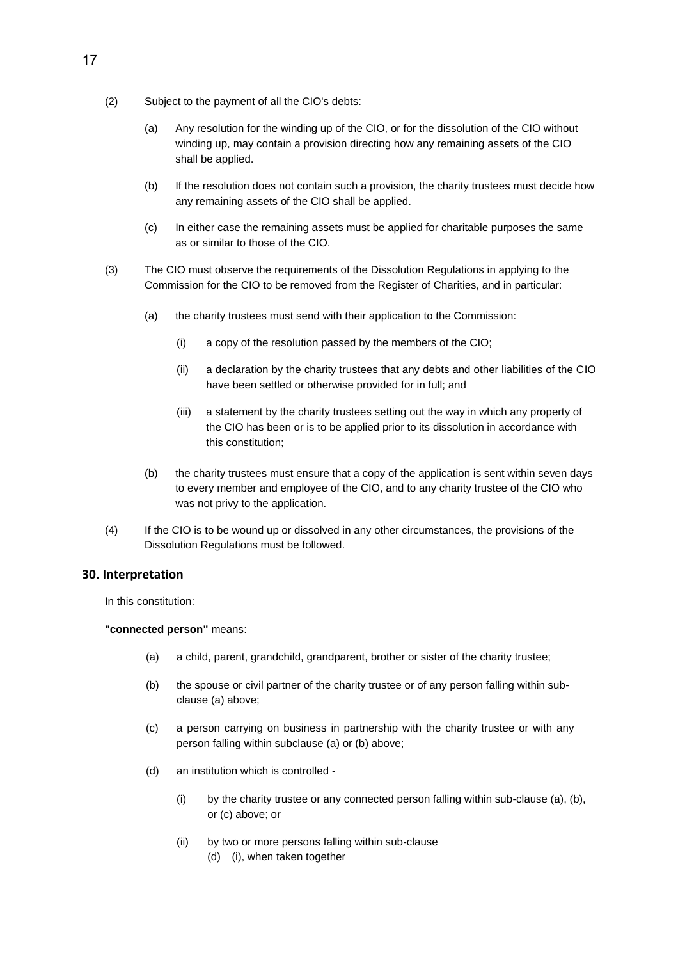- (2) Subject to the payment of all the CIO's debts:
	- (a) Any resolution for the winding up of the CIO, or for the dissolution of the CIO without winding up, may contain a provision directing how any remaining assets of the CIO shall be applied.
	- (b) If the resolution does not contain such a provision, the charity trustees must decide how any remaining assets of the CIO shall be applied.
	- (c) In either case the remaining assets must be applied for charitable purposes the same as or similar to those of the CIO.
- (3) The CIO must observe the requirements of the Dissolution Regulations in applying to the Commission for the CIO to be removed from the Register of Charities, and in particular:
	- (a) the charity trustees must send with their application to the Commission:
		- (i) a copy of the resolution passed by the members of the CIO;
		- (ii) a declaration by the charity trustees that any debts and other liabilities of the CIO have been settled or otherwise provided for in full; and
		- (iii) a statement by the charity trustees setting out the way in which any property of the CIO has been or is to be applied prior to its dissolution in accordance with this constitution;
	- (b) the charity trustees must ensure that a copy of the application is sent within seven days to every member and employee of the CIO, and to any charity trustee of the CIO who was not privy to the application.
- (4) If the CIO is to be wound up or dissolved in any other circumstances, the provisions of the Dissolution Regulations must be followed.

### **30. Interpretation**

In this constitution:

#### **"connected person"** means:

- (a) a child, parent, grandchild, grandparent, brother or sister of the charity trustee;
- (b) the spouse or civil partner of the charity trustee or of any person falling within subclause (a) above;
- (c) a person carrying on business in partnership with the charity trustee or with any person falling within subclause (a) or (b) above;
- (d) an institution which is controlled
	- (i) by the charity trustee or any connected person falling within sub-clause (a), (b), or (c) above; or
	- (ii) by two or more persons falling within sub-clause (d) (i), when taken together